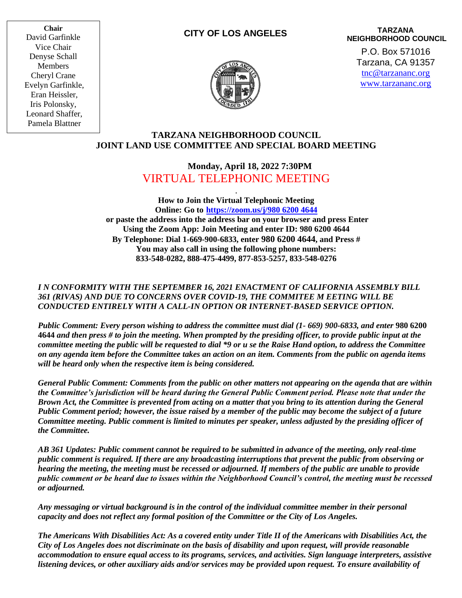**Chair** David Garfinkle Vice Chair Denyse Schall Members Cheryl Crane Evelyn Garfinkle, Eran Heissler, Iris Polonsky, Leonard Shaffer, Pamela Blattner

#### **CITY OF LOS ANGELES**



**TARZANA NEIGHBORHOOD COUNCIL** P.O. Box 571016 Tarzana, CA 91357

[tnc@tarzananc.org](mailto:tnc@tarzananc.org) [www.tarzananc.org](http://www.tarzananc.org/)

### **TARZANA NEIGHBORHOOD COUNCIL JOINT LAND USE COMMITTEE AND SPECIAL BOARD MEETING**

# **Monday, April 18, 2022 7:30PM**  VIRTUAL TELEPHONIC MEETING

.

**How to Join the Virtual Telephonic Meeting Online: Go to [https://zoom.us/j/980 6200 4644](https://zoom.us/j/980%206200%204644) or paste the address into the address bar on your browser and press Enter Using the Zoom App: Join Meeting and enter ID: 980 6200 4644 By Telephone: Dial 1-669-900-6833, enter 980 6200 4644, and Press # You may also call in using the following phone numbers: 833-548-0282, 888-475-4499, 877-853-5257, 833-548-0276**

### *I N CONFORMITY WITH THE SEPTEMBER 16, 2021 ENACTMENT OF CALIFORNIA ASSEMBLY BILL 361 (RIVAS) AND DUE TO CONCERNS OVER COVID-19, THE COMMITEE M EETING WILL BE CONDUCTED ENTIRELY WITH A CALL-IN OPTION OR INTERNET-BASED SERVICE OPTION.*

*Public Comment: Every person wishing to address the committee must dial (1- 669) 900-6833, and enter* **980 6200 4644** *and then press # to join the meeting. When prompted by the presiding officer, to provide public input at the committee meeting the public will be requested to dial \*9 or u se the Raise Hand option, to address the Committee on any agenda item before the Committee takes an action on an item. Comments from the public on agenda items will be heard only when the respective item is being considered.*

*General Public Comment: Comments from the public on other matters not appearing on the agenda that are within the Committee's jurisdiction will be heard during the General Public Comment period. Please note that under the Brown Act, the Committee is prevented from acting on a matter that you bring to its attention during the General Public Comment period; however, the issue raised by a member of the public may become the subject of a future Committee meeting. Public comment is limited to minutes per speaker, unless adjusted by the presiding officer of the Committee.*

*AB 361 Updates: Public comment cannot be required to be submitted in advance of the meeting, only real-time public comment is required. If there are any broadcasting interruptions that prevent the public from observing or hearing the meeting, the meeting must be recessed or adjourned. If members of the public are unable to provide public comment or be heard due to issues within the Neighborhood Council's control, the meeting must be recessed or adjourned.*

*Any messaging or virtual background is in the control of the individual committee member in their personal capacity and does not reflect any formal position of the Committee or the City of Los Angeles.*

*The Americans With Disabilities Act: As a covered entity under Title II of the Americans with Disabilities Act, the City of Los Angeles does not discriminate on the basis of disability and upon request, will provide reasonable accommodation to ensure equal access to its programs, services, and activities. Sign language interpreters, assistive listening devices, or other auxiliary aids and/or services may be provided upon request. To ensure availability of*